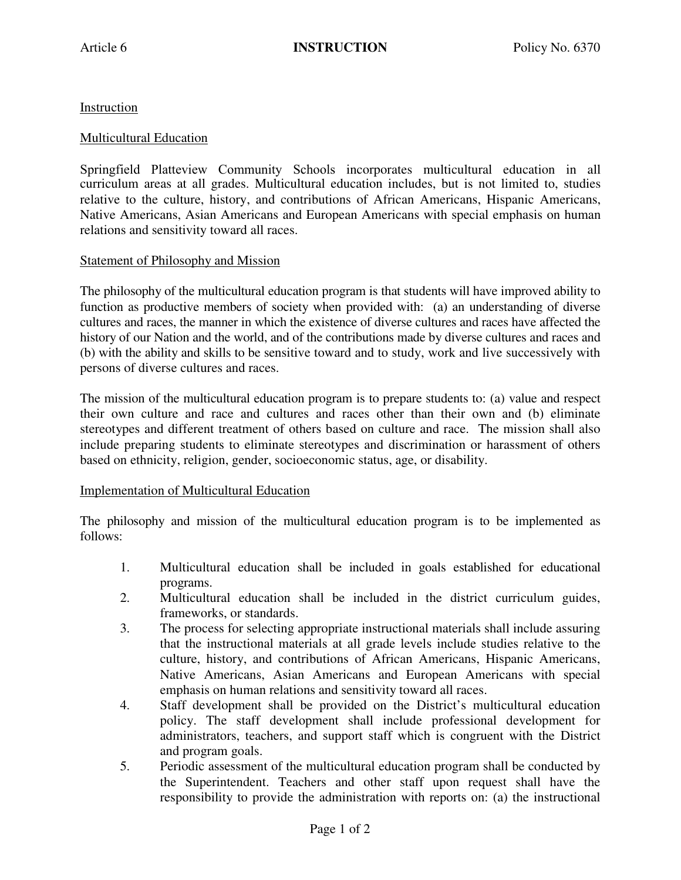**Instruction** 

## Multicultural Education

Springfield Platteview Community Schools incorporates multicultural education in all curriculum areas at all grades. Multicultural education includes, but is not limited to, studies relative to the culture, history, and contributions of African Americans, Hispanic Americans, Native Americans, Asian Americans and European Americans with special emphasis on human relations and sensitivity toward all races.

## Statement of Philosophy and Mission

The philosophy of the multicultural education program is that students will have improved ability to function as productive members of society when provided with: (a) an understanding of diverse cultures and races, the manner in which the existence of diverse cultures and races have affected the history of our Nation and the world, and of the contributions made by diverse cultures and races and (b) with the ability and skills to be sensitive toward and to study, work and live successively with persons of diverse cultures and races.

The mission of the multicultural education program is to prepare students to: (a) value and respect their own culture and race and cultures and races other than their own and (b) eliminate stereotypes and different treatment of others based on culture and race. The mission shall also include preparing students to eliminate stereotypes and discrimination or harassment of others based on ethnicity, religion, gender, socioeconomic status, age, or disability.

## Implementation of Multicultural Education

The philosophy and mission of the multicultural education program is to be implemented as follows:

- 1. Multicultural education shall be included in goals established for educational programs.
- 2. Multicultural education shall be included in the district curriculum guides, frameworks, or standards.
- 3. The process for selecting appropriate instructional materials shall include assuring that the instructional materials at all grade levels include studies relative to the culture, history, and contributions of African Americans, Hispanic Americans, Native Americans, Asian Americans and European Americans with special emphasis on human relations and sensitivity toward all races.
- 4. Staff development shall be provided on the District's multicultural education policy. The staff development shall include professional development for administrators, teachers, and support staff which is congruent with the District and program goals.
- 5. Periodic assessment of the multicultural education program shall be conducted by the Superintendent. Teachers and other staff upon request shall have the responsibility to provide the administration with reports on: (a) the instructional